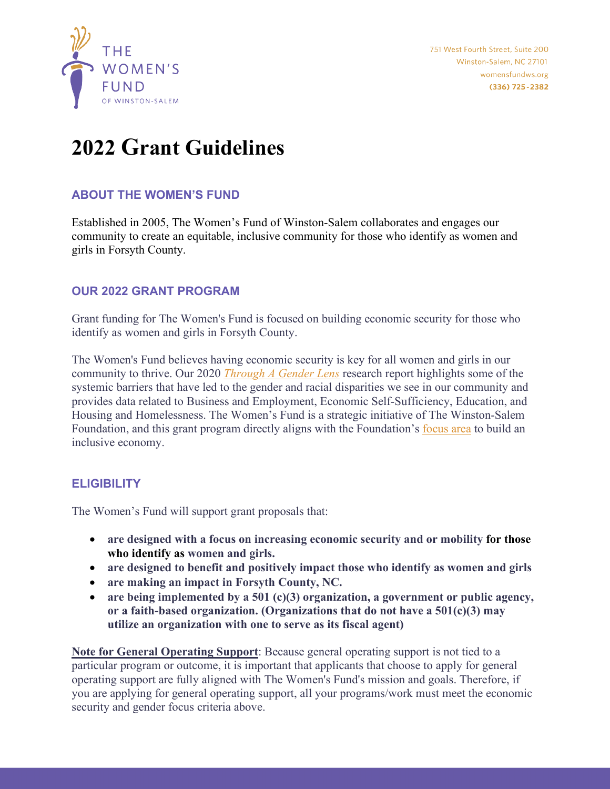

# **2022 Grant Guidelines**

## **ABOUT THE WOMEN'S FUND**

Established in 2005, The Women's Fund of Winston-Salem collaborates and engages our community to create an equitable, inclusive community for those who identify as women and girls in Forsyth County.

## **OUR 2022 GRANT PROGRAM**

Grant funding for The Women's Fund is focused on building economic security for those who identify as women and girls in Forsyth County.

The Women's Fund believes having economic security is key for all women and girls in our community to thrive. Our 2020 *[Through A Gender Lens](https://www.wfgenderlens.org/)* research report highlights some of the systemic barriers that have led to the gender and racial disparities we see in our community and provides data related to Business and Employment, Economic Self-Sufficiency, Education, and Housing and Homelessness. The Women's Fund is a strategic initiative of The Winston-Salem Foundation, and this grant program directly aligns with the Foundation's [focus area](https://www.wsfoundation.org/focus-areas) to build an inclusive economy.

## **ELIGIBILITY**

The Women's Fund will support grant proposals that:

- **are designed with a focus on increasing economic security and or mobility for those who identify as women and girls.**
- **are designed to benefit and positively impact those who identify as women and girls**
- **are making an impact in Forsyth County, NC.**
- **are being implemented by a 501 (c)(3) organization, a government or public agency, or a faith-based organization. (Organizations that do not have a 501(c)(3) may utilize an organization with one to serve as its fiscal agent)**

**Note for General Operating Support**: Because general operating support is not tied to a particular program or outcome, it is important that applicants that choose to apply for general operating support are fully aligned with The Women's Fund's mission and goals. Therefore, if you are applying for general operating support, all your programs/work must meet the economic security and gender focus criteria above.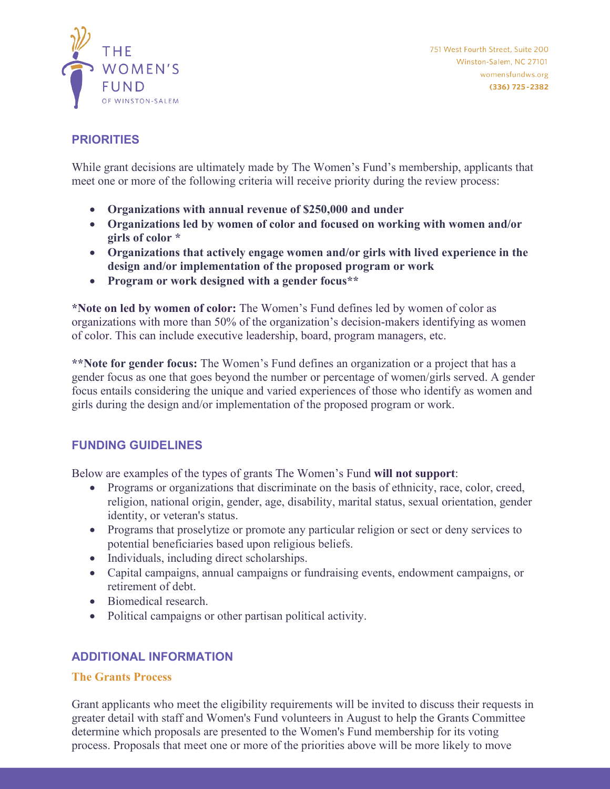

751 West Fourth Street, Suite 200 Winston-Salem, NC 27101 womensfundws.org (336) 725-2382

## **PRIORITIES**

While grant decisions are ultimately made by The Women's Fund's membership, applicants that meet one or more of the following criteria will receive priority during the review process:

- **Organizations with annual revenue of \$250,000 and under**
- **Organizations led by women of color and focused on working with women and/or girls of color \***
- **Organizations that actively engage women and/or girls with lived experience in the design and/or implementation of the proposed program or work**
- **Program or work designed with a gender focus\*\***

**\*Note on led by women of color:** The Women's Fund defines led by women of color as organizations with more than 50% of the organization's decision-makers identifying as women of color. This can include executive leadership, board, program managers, etc.

**\*\*Note for gender focus:** The Women's Fund defines an organization or a project that has a gender focus as one that goes beyond the number or percentage of women/girls served. A gender focus entails considering the unique and varied experiences of those who identify as women and girls during the design and/or implementation of the proposed program or work.

## **FUNDING GUIDELINES**

Below are examples of the types of grants The Women's Fund **will not support**:

- Programs or organizations that discriminate on the basis of ethnicity, race, color, creed, religion, national origin, gender, age, disability, marital status, sexual orientation, gender identity, or veteran's status.
- Programs that proselytize or promote any particular religion or sect or deny services to potential beneficiaries based upon religious beliefs.
- Individuals, including direct scholarships.
- Capital campaigns, annual campaigns or fundraising events, endowment campaigns, or retirement of debt.
- Biomedical research.
- Political campaigns or other partisan political activity.

## **ADDITIONAL INFORMATION**

#### **The Grants Process**

Grant applicants who meet the eligibility requirements will be invited to discuss their requests in greater detail with staff and Women's Fund volunteers in August to help the Grants Committee determine which proposals are presented to the Women's Fund membership for its voting process. Proposals that meet one or more of the priorities above will be more likely to move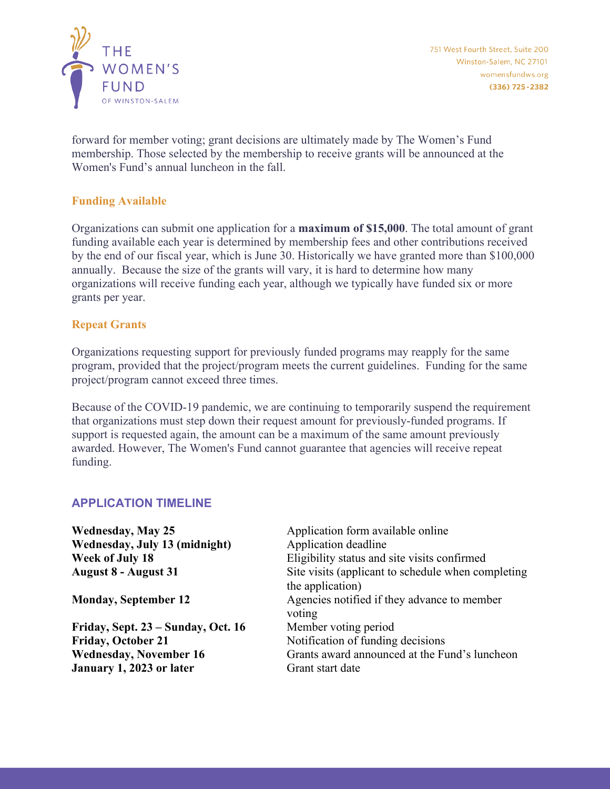

forward for member voting; grant decisions are ultimately made by The Women's Fund membership. Those selected by the membership to receive grants will be announced at the Women's Fund's annual luncheon in the fall.

#### **Funding Available**

Organizations can submit one application for a **maximum of \$15,000**. The total amount of grant funding available each year is determined by membership fees and other contributions received by the end of our fiscal year, which is June 30. Historically we have granted more than \$100,000 annually. Because the size of the grants will vary, it is hard to determine how many organizations will receive funding each year, although we typically have funded six or more grants per year.

#### **Repeat Grants**

Organizations requesting support for previously funded programs may reapply for the same program, provided that the project/program meets the current guidelines. Funding for the same project/program cannot exceed three times.

Because of the COVID-19 pandemic, we are continuing to temporarily suspend the requirement that organizations must step down their request amount for previously-funded programs. If support is requested again, the amount can be a maximum of the same amount previously awarded. However, The Women's Fund cannot guarantee that agencies will receive repeat funding.

#### **APPLICATION TIMELINE**

| Application form available online                                      |
|------------------------------------------------------------------------|
| Application deadline                                                   |
| Eligibility status and site visits confirmed                           |
| Site visits (applicant to schedule when completing<br>the application) |
| Agencies notified if they advance to member<br>voting                  |
| Member voting period                                                   |
| Notification of funding decisions                                      |
| Grants award announced at the Fund's luncheon                          |
| Grant start date                                                       |
|                                                                        |